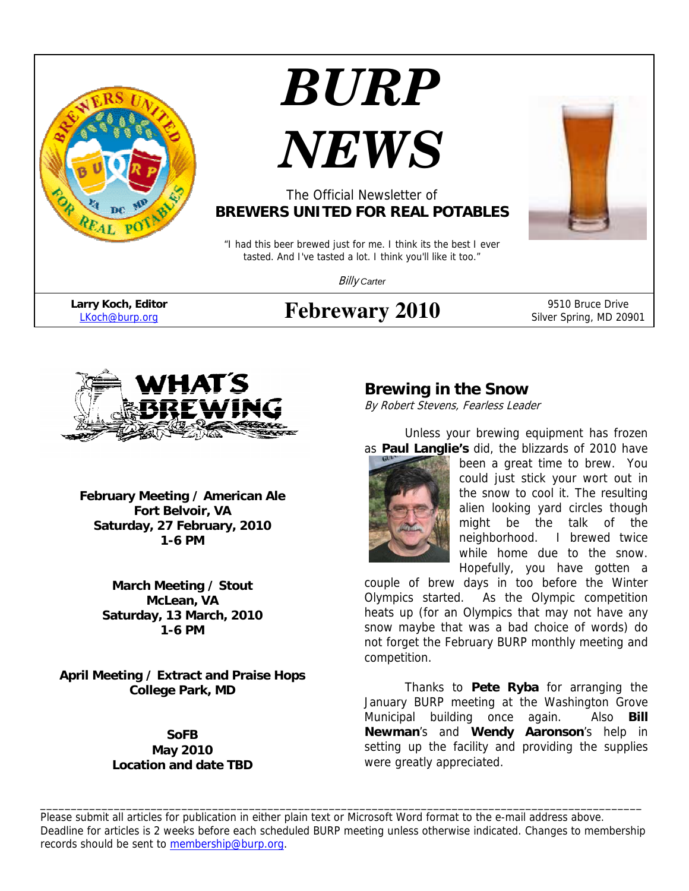

# *BURP*



## The Official Newsletter of **BREWERS UNITED FOR REAL POTABLES**

"I had this beer brewed just for me. I think its the best I ever tasted. And I've tasted a lot. I think you'll like it too."

Billy *Carter*

**Febrewary 2010** 9510 Bruce Drive Silver Spring, MD 20901



**February Meeting / American Ale Fort Belvoir, VA Saturday, 27 February, 2010 1-6 PM** 

> **March Meeting / Stout McLean, VA Saturday, 13 March, 2010 1-6 PM**

**April Meeting / Extract and Praise Hops College Park, MD** 

#### **SoFB May 2010 Location and date TBD**

## **Brewing in the Snow**

By Robert Stevens, Fearless Leader

Unless your brewing equipment has frozen as **Paul Langlie's** did, the blizzards of 2010 have



been a great time to brew. You could just stick your wort out in the snow to cool it. The resulting alien looking yard circles though might be the talk of the neighborhood. I brewed twice while home due to the snow. Hopefully, you have gotten a

couple of brew days in too before the Winter Olympics started. As the Olympic competition heats up (for an Olympics that may not have any snow maybe that was a bad choice of words) do not forget the February BURP monthly meeting and competition.

Thanks to **Pete Ryba** for arranging the January BURP meeting at the Washington Grove Municipal building once again. Also **Bill Newman**'s and **Wendy Aaronson**'s help in setting up the facility and providing the supplies were greatly appreciated.

Please submit all articles for publication in either plain text or Microsoft Word format to the e-mail address above. Deadline for articles is 2 weeks before each scheduled BURP meeting unless otherwise indicated. Changes to membership records should be sent to membership@burp.org.

\_\_\_\_\_\_\_\_\_\_\_\_\_\_\_\_\_\_\_\_\_\_\_\_\_\_\_\_\_\_\_\_\_\_\_\_\_\_\_\_\_\_\_\_\_\_\_\_\_\_\_\_\_\_\_\_\_\_\_\_\_\_\_\_\_\_\_\_\_\_\_\_\_\_\_\_\_\_\_\_\_\_\_\_\_\_\_\_\_\_\_\_\_\_\_\_\_\_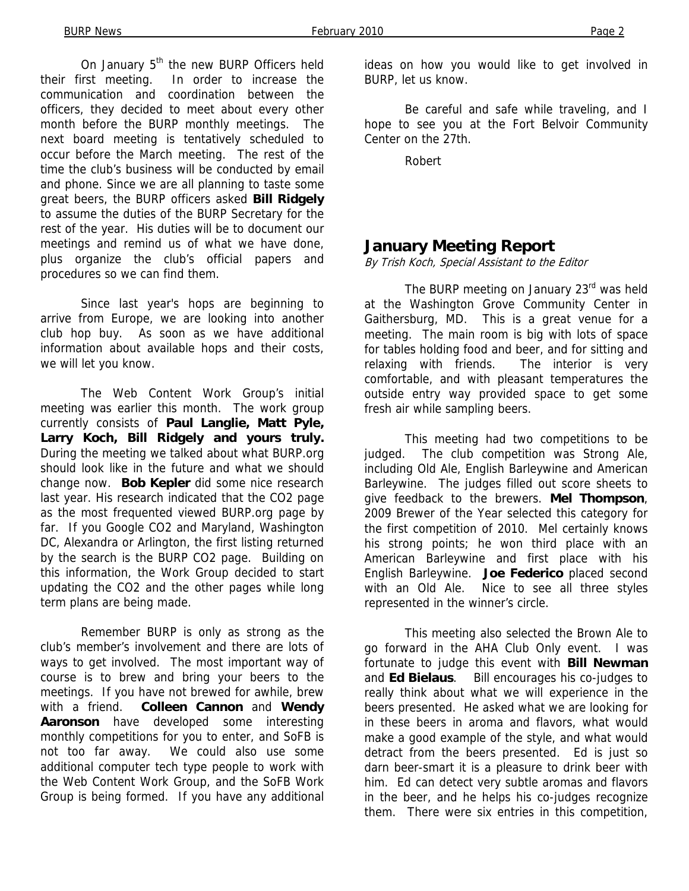On January 5<sup>th</sup> the new BURP Officers held their first meeting. In order to increase the communication and coordination between the officers, they decided to meet about every other month before the BURP monthly meetings. The next board meeting is tentatively scheduled to occur before the March meeting. The rest of the time the club's business will be conducted by email and phone. Since we are all planning to taste some great beers, the BURP officers asked **Bill Ridgely** to assume the duties of the BURP Secretary for the rest of the year. His duties will be to document our meetings and remind us of what we have done, plus organize the club's official papers and procedures so we can find them.

Since last year's hops are beginning to arrive from Europe, we are looking into another club hop buy. As soon as we have additional information about available hops and their costs, we will let you know.

The Web Content Work Group's initial meeting was earlier this month. The work group currently consists of **Paul Langlie, Matt Pyle, Larry Koch, Bill Ridgely and yours truly.**  During the meeting we talked about what BURP.org should look like in the future and what we should change now. **Bob Kepler** did some nice research last year. His research indicated that the CO2 page as the most frequented viewed BURP.org page by far. If you Google CO2 and Maryland, Washington DC, Alexandra or Arlington, the first listing returned by the search is the BURP CO2 page. Building on this information, the Work Group decided to start updating the CO2 and the other pages while long term plans are being made.

Remember BURP is only as strong as the club's member's involvement and there are lots of ways to get involved. The most important way of course is to brew and bring your beers to the meetings. If you have not brewed for awhile, brew with a friend. **Colleen Cannon** and **Wendy Aaronson** have developed some interesting monthly competitions for you to enter, and SoFB is not too far away. We could also use some additional computer tech type people to work with the Web Content Work Group, and the SoFB Work Group is being formed. If you have any additional

ideas on how you would like to get involved in BURP, let us know.

Be careful and safe while traveling, and I hope to see you at the Fort Belvoir Community Center on the 27th.

Robert

#### **January Meeting Report**

By Trish Koch, Special Assistant to the Editor

The BURP meeting on January 23<sup>rd</sup> was held at the Washington Grove Community Center in Gaithersburg, MD. This is a great venue for a meeting. The main room is big with lots of space for tables holding food and beer, and for sitting and relaxing with friends. The interior is very comfortable, and with pleasant temperatures the outside entry way provided space to get some fresh air while sampling beers.

 This meeting had two competitions to be judged. The club competition was Strong Ale, including Old Ale, English Barleywine and American Barleywine. The judges filled out score sheets to give feedback to the brewers. **Mel Thompson**, 2009 Brewer of the Year selected this category for the first competition of 2010. Mel certainly knows his strong points; he won third place with an American Barleywine and first place with his English Barleywine. **Joe Federico** placed second with an Old Ale. Nice to see all three styles represented in the winner's circle.

 This meeting also selected the Brown Ale to go forward in the AHA Club Only event. I was fortunate to judge this event with **Bill Newman** and **Ed Bielaus**. Bill encourages his co-judges to really think about what we will experience in the beers presented. He asked what we are looking for in these beers in aroma and flavors, what would make a good example of the style, and what would detract from the beers presented. Ed is just so darn beer-smart it is a pleasure to drink beer with him. Ed can detect very subtle aromas and flavors in the beer, and he helps his co-judges recognize them. There were six entries in this competition,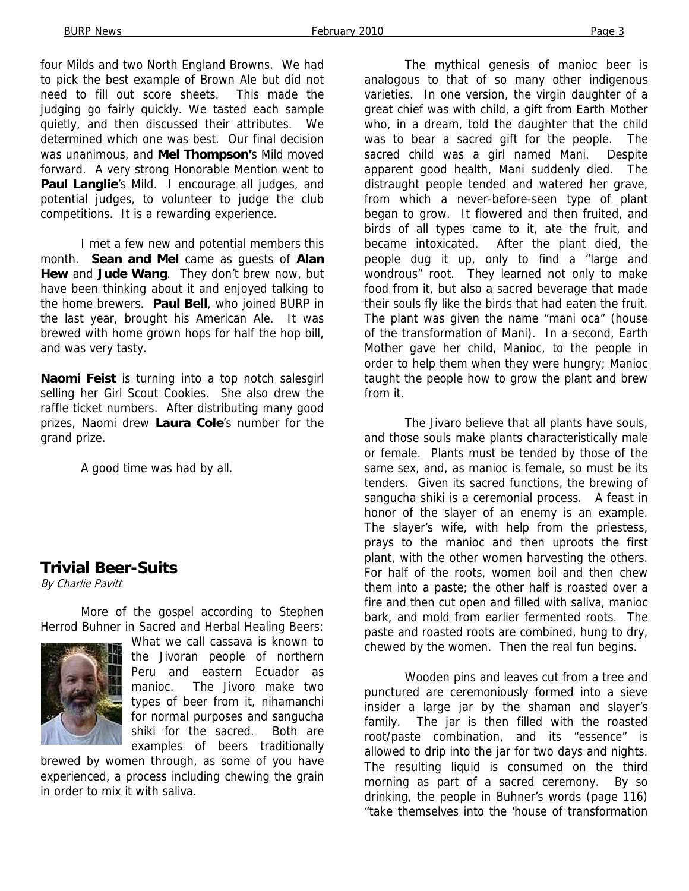four Milds and two North England Browns. We had to pick the best example of Brown Ale but did not need to fill out score sheets. This made the judging go fairly quickly. We tasted each sample quietly, and then discussed their attributes. We determined which one was best. Our final decision was unanimous, and **Mel Thompson'**s Mild moved forward. A very strong Honorable Mention went to Paul Langlie's Mild. I encourage all judges, and potential judges, to volunteer to judge the club competitions. It is a rewarding experience.

 I met a few new and potential members this month. **Sean and Mel** came as guests of **Alan Hew** and **Jude Wang**. They don't brew now, but have been thinking about it and enjoyed talking to the home brewers. **Paul Bell**, who joined BURP in the last year, brought his American Ale. It was brewed with home grown hops for half the hop bill, and was very tasty.

**Naomi Feist** is turning into a top notch salesgirl selling her Girl Scout Cookies. She also drew the raffle ticket numbers. After distributing many good prizes, Naomi drew **Laura Cole**'s number for the grand prize.

A good time was had by all.

#### **Trivial Beer-Suits**

By Charlie Pavitt

More of the gospel according to Stephen Herrod Buhner in Sacred and Herbal Healing Beers:



What we call cassava is known to the Jivoran people of northern Peru and eastern Ecuador as manioc. The Jivoro make two types of beer from it, nihamanchi for normal purposes and sangucha shiki for the sacred. Both are examples of beers traditionally

brewed by women through, as some of you have experienced, a process including chewing the grain in order to mix it with saliva.

The mythical genesis of manioc beer is analogous to that of so many other indigenous varieties. In one version, the virgin daughter of a great chief was with child, a gift from Earth Mother who, in a dream, told the daughter that the child was to bear a sacred gift for the people. The sacred child was a girl named Mani. Despite apparent good health, Mani suddenly died. The distraught people tended and watered her grave, from which a never-before-seen type of plant began to grow. It flowered and then fruited, and birds of all types came to it, ate the fruit, and became intoxicated. After the plant died, the people dug it up, only to find a "large and wondrous" root. They learned not only to make food from it, but also a sacred beverage that made their souls fly like the birds that had eaten the fruit. The plant was given the name "mani oca" (house of the transformation of Mani). In a second, Earth Mother gave her child, Manioc, to the people in order to help them when they were hungry; Manioc taught the people how to grow the plant and brew from it.

The Jivaro believe that all plants have souls, and those souls make plants characteristically male or female. Plants must be tended by those of the same sex, and, as manioc is female, so must be its tenders. Given its sacred functions, the brewing of sangucha shiki is a ceremonial process. A feast in honor of the slayer of an enemy is an example. The slayer's wife, with help from the priestess, prays to the manioc and then uproots the first plant, with the other women harvesting the others. For half of the roots, women boil and then chew them into a paste; the other half is roasted over a fire and then cut open and filled with saliva, manioc bark, and mold from earlier fermented roots. The paste and roasted roots are combined, hung to dry, chewed by the women. Then the real fun begins.

Wooden pins and leaves cut from a tree and punctured are ceremoniously formed into a sieve insider a large jar by the shaman and slayer's family. The jar is then filled with the roasted root/paste combination, and its "essence" is allowed to drip into the jar for two days and nights. The resulting liquid is consumed on the third morning as part of a sacred ceremony. By so drinking, the people in Buhner's words (page 116) "take themselves into the 'house of transformation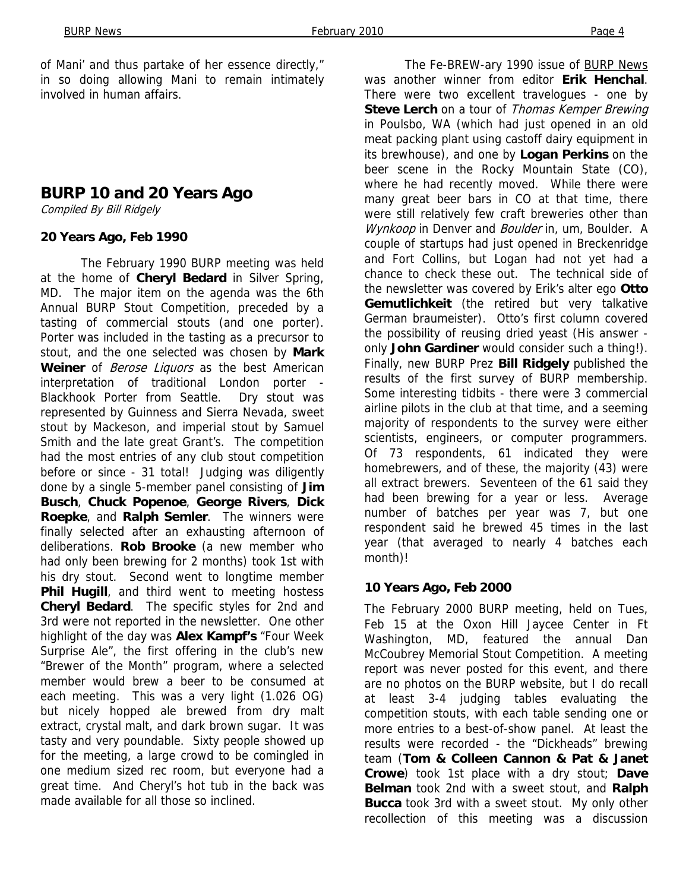of Mani' and thus partake of her essence directly," in so doing allowing Mani to remain intimately involved in human affairs.

## **BURP 10 and 20 Years Ago**

Compiled By Bill Ridgely

#### **20 Years Ago, Feb 1990**

The February 1990 BURP meeting was held at the home of **Cheryl Bedard** in Silver Spring, MD. The major item on the agenda was the 6th Annual BURP Stout Competition, preceded by a tasting of commercial stouts (and one porter). Porter was included in the tasting as a precursor to stout, and the one selected was chosen by **Mark Weiner** of Berose Liquors as the best American interpretation of traditional London porter - Blackhook Porter from Seattle. Dry stout was represented by Guinness and Sierra Nevada, sweet stout by Mackeson, and imperial stout by Samuel Smith and the late great Grant's. The competition had the most entries of any club stout competition before or since - 31 total! Judging was diligently done by a single 5-member panel consisting of **Jim Busch**, **Chuck Popenoe**, **George Rivers**, **Dick Roepke**, and **Ralph Semler**. The winners were finally selected after an exhausting afternoon of deliberations. **Rob Brooke** (a new member who had only been brewing for 2 months) took 1st with his dry stout. Second went to longtime member **Phil Hugill**, and third went to meeting hostess **Cheryl Bedard**. The specific styles for 2nd and 3rd were not reported in the newsletter. One other highlight of the day was **Alex Kampf's** "Four Week Surprise Ale", the first offering in the club's new "Brewer of the Month" program, where a selected member would brew a beer to be consumed at each meeting. This was a very light (1.026 OG) but nicely hopped ale brewed from dry malt extract, crystal malt, and dark brown sugar. It was tasty and very poundable. Sixty people showed up for the meeting, a large crowd to be comingled in one medium sized rec room, but everyone had a great time. And Cheryl's hot tub in the back was made available for all those so inclined.

The Fe-BREW-ary 1990 issue of **BURP News** was another winner from editor **Erik Henchal**. There were two excellent travelogues - one by Steve Lerch on a tour of Thomas Kemper Brewing in Poulsbo, WA (which had just opened in an old meat packing plant using castoff dairy equipment in its brewhouse), and one by **Logan Perkins** on the beer scene in the Rocky Mountain State (CO), where he had recently moved. While there were many great beer bars in CO at that time, there were still relatively few craft breweries other than Wynkoop in Denver and Boulder in, um, Boulder. A couple of startups had just opened in Breckenridge and Fort Collins, but Logan had not yet had a chance to check these out. The technical side of the newsletter was covered by Erik's alter ego **Otto Gemutlichkeit** (the retired but very talkative German braumeister). Otto's first column covered the possibility of reusing dried yeast (His answer only **John Gardiner** would consider such a thing!). Finally, new BURP Prez **Bill Ridgely** published the results of the first survey of BURP membership. Some interesting tidbits - there were 3 commercial airline pilots in the club at that time, and a seeming majority of respondents to the survey were either scientists, engineers, or computer programmers. Of 73 respondents, 61 indicated they were homebrewers, and of these, the majority (43) were all extract brewers. Seventeen of the 61 said they had been brewing for a year or less. Average number of batches per year was 7, but one respondent said he brewed 45 times in the last year (that averaged to nearly 4 batches each month)!

#### **10 Years Ago, Feb 2000**

The February 2000 BURP meeting, held on Tues, Feb 15 at the Oxon Hill Jaycee Center in Ft Washington, MD, featured the annual Dan McCoubrey Memorial Stout Competition. A meeting report was never posted for this event, and there are no photos on the BURP website, but I do recall at least 3-4 judging tables evaluating the competition stouts, with each table sending one or more entries to a best-of-show panel. At least the results were recorded - the "Dickheads" brewing team (**Tom & Colleen Cannon & Pat & Janet Crowe**) took 1st place with a dry stout; **Dave Belman** took 2nd with a sweet stout, and **Ralph Bucca** took 3rd with a sweet stout. My only other recollection of this meeting was a discussion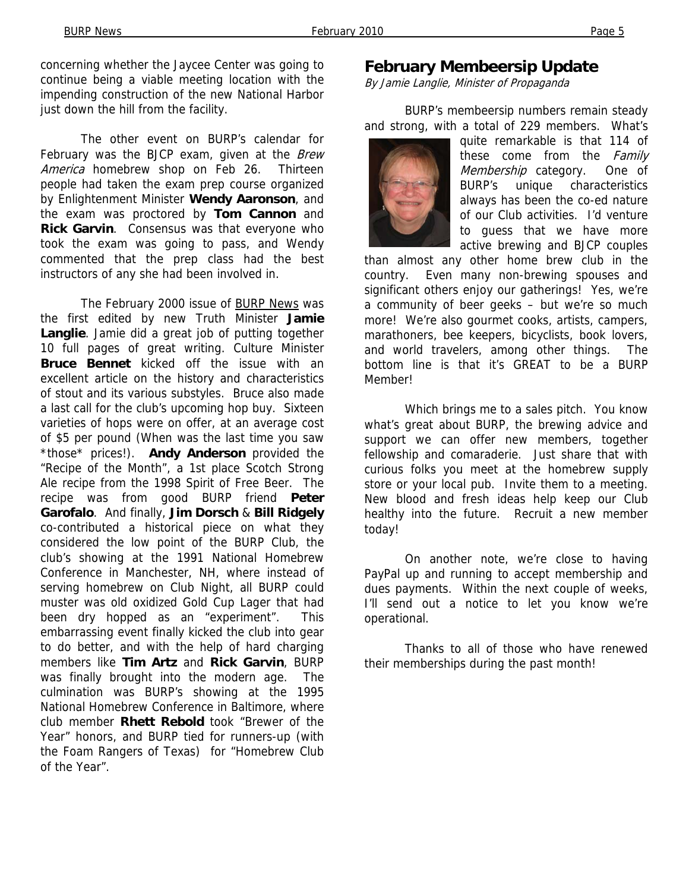concerning whether the Jaycee Center was going to continue being a viable meeting location with the impending construction of the new National Harbor just down the hill from the facility.

The other event on BURP's calendar for February was the BJCP exam, given at the Brew America homebrew shop on Feb 26. Thirteen people had taken the exam prep course organized by Enlightenment Minister **Wendy Aaronson**, and the exam was proctored by **Tom Cannon** and **Rick Garvin**. Consensus was that everyone who took the exam was going to pass, and Wendy commented that the prep class had the best instructors of any she had been involved in.

The February 2000 issue of BURP News was the first edited by new Truth Minister **Jamie Langlie**. Jamie did a great job of putting together 10 full pages of great writing. Culture Minister **Bruce Bennet** kicked off the issue with an excellent article on the history and characteristics of stout and its various substyles. Bruce also made a last call for the club's upcoming hop buy. Sixteen varieties of hops were on offer, at an average cost of \$5 per pound (When was the last time you saw \*those\* prices!). **Andy Anderson** provided the "Recipe of the Month", a 1st place Scotch Strong Ale recipe from the 1998 Spirit of Free Beer. The recipe was from good BURP friend **Peter Garofalo**. And finally, **Jim Dorsch** & **Bill Ridgely**  co-contributed a historical piece on what they considered the low point of the BURP Club, the club's showing at the 1991 National Homebrew Conference in Manchester, NH, where instead of serving homebrew on Club Night, all BURP could muster was old oxidized Gold Cup Lager that had been dry hopped as an "experiment". This embarrassing event finally kicked the club into gear to do better, and with the help of hard charging members like **Tim Artz** and **Rick Garvin**, BURP was finally brought into the modern age. The culmination was BURP's showing at the 1995 National Homebrew Conference in Baltimore, where club member **Rhett Rebold** took "Brewer of the Year" honors, and BURP tied for runners-up (with the Foam Rangers of Texas) for "Homebrew Club of the Year".

#### **February Membeersip Update**

By Jamie Langlie, Minister of Propaganda

BURP's membeersip numbers remain steady and strong, with a total of 229 members. What's



quite remarkable is that 114 of these come from the Family Membership category. One of BURP's unique characteristics always has been the co-ed nature of our Club activities. I'd venture to guess that we have more active brewing and BJCP couples

than almost any other home brew club in the country. Even many non-brewing spouses and significant others enjoy our gatherings! Yes, we're a community of beer geeks – but we're so much more! We're also gourmet cooks, artists, campers, marathoners, bee keepers, bicyclists, book lovers, and world travelers, among other things. The bottom line is that it's GREAT to be a BURP Member!

Which brings me to a sales pitch. You know what's great about BURP, the brewing advice and support we can offer new members, together fellowship and comaraderie. Just share that with curious folks you meet at the homebrew supply store or your local pub. Invite them to a meeting. New blood and fresh ideas help keep our Club healthy into the future. Recruit a new member today!

On another note, we're close to having PayPal up and running to accept membership and dues payments. Within the next couple of weeks, I'll send out a notice to let you know we're operational.

Thanks to all of those who have renewed their memberships during the past month!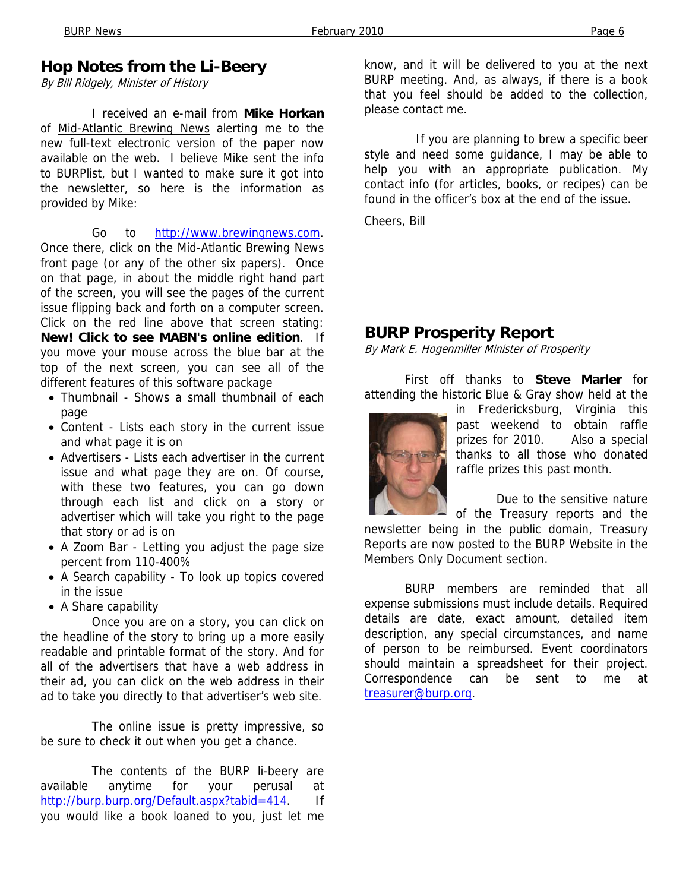## **Hop Notes from the Li-Beery**

By Bill Ridgely, Minister of History

 I received an e-mail from **Mike Horkan**  of Mid-Atlantic Brewing News alerting me to the new full-text electronic version of the paper now available on the web. I believe Mike sent the info to BURPlist, but I wanted to make sure it got into the newsletter, so here is the information as provided by Mike:

 Go to http://www.brewingnews.com. Once there, click on the Mid-Atlantic Brewing News front page (or any of the other six papers). Once on that page, in about the middle right hand part of the screen, you will see the pages of the current issue flipping back and forth on a computer screen. Click on the red line above that screen stating: **New! Click to see MABN's online edition**. If you move your mouse across the blue bar at the top of the next screen, you can see all of the different features of this software package

- Thumbnail Shows a small thumbnail of each page
- Content Lists each story in the current issue and what page it is on
- Advertisers Lists each advertiser in the current issue and what page they are on. Of course, with these two features, you can go down through each list and click on a story or advertiser which will take you right to the page that story or ad is on
- A Zoom Bar Letting you adjust the page size percent from 110-400%
- A Search capability To look up topics covered in the issue
- A Share capability

 Once you are on a story, you can click on the headline of the story to bring up a more easily readable and printable format of the story. And for all of the advertisers that have a web address in their ad, you can click on the web address in their ad to take you directly to that advertiser's web site.

 The online issue is pretty impressive, so be sure to check it out when you get a chance.

 The contents of the BURP li-beery are available anytime for your perusal at http://burp.burp.org/Default.aspx?tabid=414. If you would like a book loaned to you, just let me know, and it will be delivered to you at the next BURP meeting. And, as always, if there is a book that you feel should be added to the collection, please contact me.

 If you are planning to brew a specific beer style and need some guidance, I may be able to help you with an appropriate publication. My contact info (for articles, books, or recipes) can be found in the officer's box at the end of the issue.

Cheers, Bill

## **BURP Prosperity Report**

By Mark E. Hogenmiller Minister of Prosperity

First off thanks to **Steve Marler** for attending the historic Blue & Gray show held at the



in Fredericksburg, Virginia this past weekend to obtain raffle prizes for 2010. Also a special thanks to all those who donated raffle prizes this past month.

Due to the sensitive nature

of the Treasury reports and the newsletter being in the public domain, Treasury Reports are now posted to the BURP Website in the Members Only Document section.

BURP members are reminded that all expense submissions must include details. Required details are date, exact amount, detailed item description, any special circumstances, and name of person to be reimbursed. Event coordinators should maintain a spreadsheet for their project. Correspondence can be sent to me at treasurer@burp.org.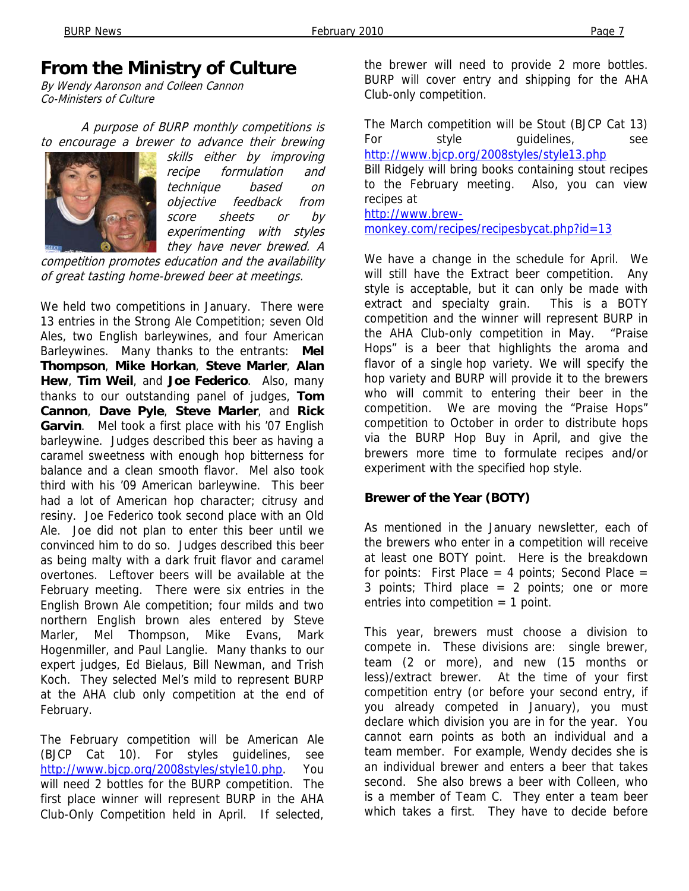# **From the Ministry of Culture**

By Wendy Aaronson and Colleen Cannon Co-Ministers of Culture

 A purpose of BURP monthly competitions is to encourage a brewer to advance their brewing



skills either by improving recipe formulation and technique based on objective feedback from score sheets or by experimenting with styles they have never brewed. A

competition promotes education and the availability of great tasting home-brewed beer at meetings.

We held two competitions in January. There were 13 entries in the Strong Ale Competition; seven Old Ales, two English barleywines, and four American Barleywines. Many thanks to the entrants: **Mel Thompson**, **Mike Horkan**, **Steve Marler**, **Alan Hew**, **Tim Weil**, and **Joe Federico**. Also, many thanks to our outstanding panel of judges, **Tom Cannon**, **Dave Pyle**, **Steve Marler**, and **Rick Garvin**. Mel took a first place with his '07 English barleywine. Judges described this beer as having a caramel sweetness with enough hop bitterness for balance and a clean smooth flavor. Mel also took third with his '09 American barleywine. This beer had a lot of American hop character; citrusy and resiny. Joe Federico took second place with an Old Ale. Joe did not plan to enter this beer until we convinced him to do so. Judges described this beer as being malty with a dark fruit flavor and caramel overtones. Leftover beers will be available at the February meeting. There were six entries in the English Brown Ale competition; four milds and two northern English brown ales entered by Steve Marler, Mel Thompson, Mike Evans, Mark Hogenmiller, and Paul Langlie. Many thanks to our expert judges, Ed Bielaus, Bill Newman, and Trish Koch. They selected Mel's mild to represent BURP at the AHA club only competition at the end of February.

The February competition will be American Ale (BJCP Cat 10). For styles guidelines, see http://www.bjcp.org/2008styles/style10.php. You will need 2 bottles for the BURP competition. The first place winner will represent BURP in the AHA Club-Only Competition held in April. If selected, the brewer will need to provide 2 more bottles. BURP will cover entry and shipping for the AHA Club-only competition.

The March competition will be Stout (BJCP Cat 13) For style quidelines, see http://www.bjcp.org/2008styles/style13.php

Bill Ridgely will bring books containing stout recipes to the February meeting. Also, you can view recipes at

http://www.brew-

monkey.com/recipes/recipesbycat.php?id=13

We have a change in the schedule for April. We will still have the Extract beer competition. Any style is acceptable, but it can only be made with extract and specialty grain. This is a BOTY competition and the winner will represent BURP in the AHA Club-only competition in May. "Praise Hops" is a beer that highlights the aroma and flavor of a single hop variety. We will specify the hop variety and BURP will provide it to the brewers who will commit to entering their beer in the competition. We are moving the "Praise Hops" competition to October in order to distribute hops via the BURP Hop Buy in April, and give the brewers more time to formulate recipes and/or experiment with the specified hop style.

#### **Brewer of the Year (BOTY)**

As mentioned in the January newsletter, each of the brewers who enter in a competition will receive at least one BOTY point. Here is the breakdown for points: First Place  $=$  4 points; Second Place  $=$ 3 points; Third place  $= 2$  points; one or more entries into competition  $= 1$  point.

This year, brewers must choose a division to compete in. These divisions are: single brewer, team (2 or more), and new (15 months or less)/extract brewer. At the time of your first competition entry (or before your second entry, if you already competed in January), you must declare which division you are in for the year. You cannot earn points as both an individual and a team member. For example, Wendy decides she is an individual brewer and enters a beer that takes second. She also brews a beer with Colleen, who is a member of Team C. They enter a team beer which takes a first. They have to decide before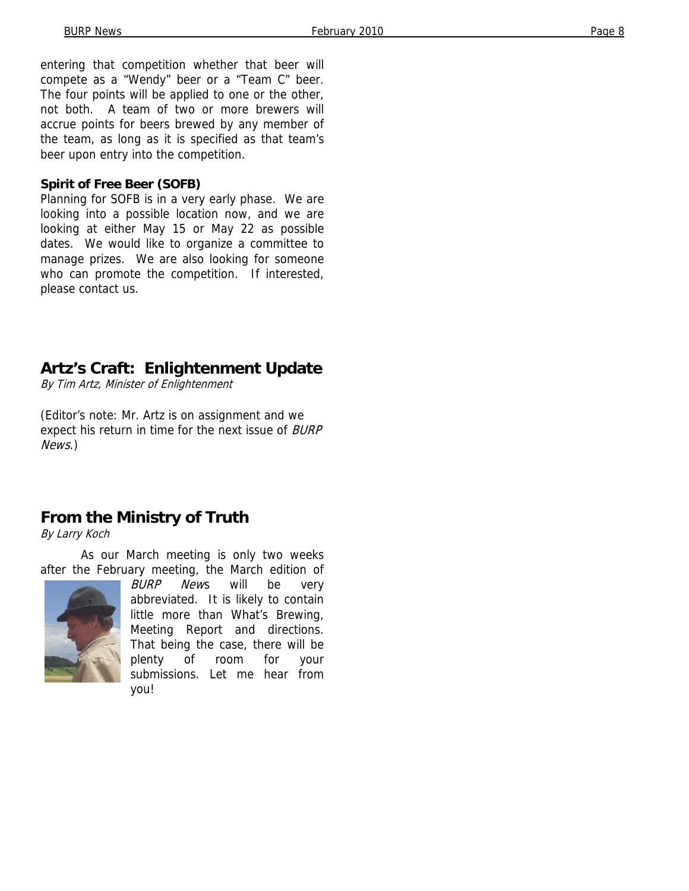entering that competition whether that beer will compete as a "Wendy" beer or a "Team C" beer. The four points will be applied to one or the other, not both. A team of two or more brewers will accrue points for beers brewed by any member of the team, as long as it is specified as that team's beer upon entry into the competition.

#### **Spirit of Free Beer (SOFB)**

Planning for SOFB is in a very early phase. We are looking into a possible location now, and we are looking at either May 15 or May 22 as possible dates. We would like to organize a committee to manage prizes. We are also looking for someone who can promote the competition. If interested, please contact us.

## **Artz's Craft: Enlightenment Update**

By Tim Artz, Minister of Enlightenment

(Editor's note: Mr. Artz is on assignment and we expect his return in time for the next issue of BURP News.)

## **From the Ministry of Truth**

By Larry Koch

As our March meeting is only two weeks after the February meeting, the March edition of



BURP News will be very abbreviated. It is likely to contain little more than What's Brewing, Meeting Report and directions. That being the case, there will be plenty of room for your submissions. Let me hear from you!